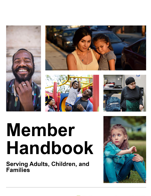







# **Member Handbook**

Serving Adults, Children, and **Families** 

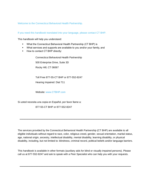Welcome to the Connecticut Behavioral Health Partnership.

If you need this handbook translated into your language, please contact CT BHP.

This handbook will help you understand:

- What the Connecticut Behavioral Health Partnership (CT BHP) is
- What services and supports are available to you and/or your family, and
- How to contact CT BHP directly:

Connecticut Behavioral Health Partnership 500 Enterprise Drive, Suite 3D Rocky Hill, CT 06067

Toll Free 877-55-CT BHP or 877-552-8247 Hearing Impaired: Dial 711

Website: [www.CTBHP.com](http://www.ctbhp.com/)

Si usted necesita una copia en Español, por favor llame a:

877-55-CT BHP or 877-552-8247

The services provided by the Connecticut Behavioral Health Partnership (CT BHP) are available to all eligible individuals without regard to race, color, religious creed, gender, sexual orientation, marital status, age, national origin, ancestry, intellectual disability, mental disability, learning disability, or physical disability, including, but not limited to: blindness, criminal record, political beliefs and/or language barriers.

\_\_\_\_\_\_\_\_\_\_\_\_\_\_\_\_\_\_\_\_\_\_\_\_\_\_\_\_\_\_\_\_\_\_\_\_\_\_\_\_\_\_\_\_\_

This handbook is available in other formats (auxiliary aids for blind or visually impaired persons). Please call us at 877-552-8247 and ask to speak with a Peer Specialist who can help you with your requests.

\_\_\_\_\_\_\_\_\_\_\_\_\_\_\_\_\_\_\_\_\_\_\_\_\_\_\_\_\_\_\_\_\_\_\_\_\_\_\_\_\_\_\_\_\_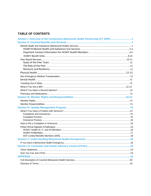# **TABLE OF CONTENTS**

| Section I: Overview of the Connecticut Behavioral Health Partnership (CT BHP)1 |  |
|--------------------------------------------------------------------------------|--|
|                                                                                |  |
|                                                                                |  |
|                                                                                |  |
|                                                                                |  |
|                                                                                |  |
|                                                                                |  |
|                                                                                |  |
|                                                                                |  |
|                                                                                |  |
|                                                                                |  |
|                                                                                |  |
|                                                                                |  |
|                                                                                |  |
|                                                                                |  |
|                                                                                |  |
|                                                                                |  |
|                                                                                |  |
|                                                                                |  |
|                                                                                |  |
|                                                                                |  |
|                                                                                |  |
|                                                                                |  |
|                                                                                |  |
|                                                                                |  |
|                                                                                |  |
|                                                                                |  |
|                                                                                |  |
|                                                                                |  |
|                                                                                |  |
|                                                                                |  |
|                                                                                |  |
|                                                                                |  |
|                                                                                |  |
|                                                                                |  |
|                                                                                |  |
|                                                                                |  |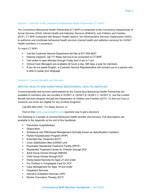# Section I: Overview of the Connecticut Behavioral Health Partnership (CT BHP)

The Connecticut Behavioral Health Partnership (CT BHP) is composed of the Connecticut Departments of Social Services (DSS), Mental Health and Addiction Services (DMHAS), and Children and Families (DCF). CT BHP contracted with Beacon Health Options, the Administrative Services Organization (ASO), to authorize and coordinate behavioral health services (mental health and addiction services) for HUSKY Health members in Connecticut.

To reach CT BHP:

- Call the Customer Service Department toll free at 877-552-8247.
- Hearing impaired, call 711 Relay Service to be connected to CT BHP.
- Call center is open Monday through Friday from 9 am to 7 pm.
- Clinical Care Managers are available 24 hours a day, 365 days a year for members.
- **■** If you do not speak English, a Customer Service Representative will connect you to a person who is able to speak your language.

### Section II: Covered Benefits and Services

# **MENTAL HEALTH AND SUBSTANCE (BEHAVIORAL HEALTH) SERVICES**

Covered benefits and services administered by the Connecticut Behavioral Health Partnership are available to members who are enrolled in HUSKY A, HUSKY B, HUSKY C, HUSKY D, and the Limited Benefit Services program through the Department of Children and Families (DCF). To find out if you or someone you know are eligible for any of these programs:

Call 855-805-4325, 711 Relay Service, or

Visit on line: [www.accesshealthct.com](http://www.accesshealthct.com/) (quickest way to get a decision).

The following is a sample of covered behavioral health benefits and services. Full descriptions are available in the Appendix at the end of this handbook:

- Psychiatric hospitalization
- Observation
- Substance Use Withdrawal Management (formally known as detoxification) Inpatient
- Partial Hospitalization Program (PHP)
- **Extended Day Treatment (EDT)**
- Crisis Stabilization Bed (CARES unit)
- **•** Psychiatric Residential Treatment Facility (PRTF)
- Residential Treatment Center for Children through DCF
- Adult Group Homes through DMHAS
- Child Group Homes through DCF
- Home-based Services for Ages 21 and under
- For Children in Congregate Care for DCF
- Case Management for Ages 19 and under
- Outpatient Services
- Intensive Outpatient Services (IOP)
- **Electro Convulsive Therapy (ECT)**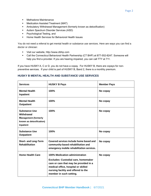- Methadone Maintenance
- Medication Assisted Treatment (MAT)
- **E** Ambulatory Withdrawal Management (formerly known as detoxification)
- Autism Spectrum Disorder Services (ASD)
- Psychological Testing, and
- Home Health Services for Behavioral Health Issues

You do not need a referral to get mental health or substance use services. Here are ways you can find a doctor or clinician:

- Visit our website, http://www.ctbhp.com
- Call the Connecticut Behavioral Health Partnership (CT BHP) at 877-552-8247. Someone will help you find a provider. If you are hearing impaired, you can call TTY at 711.

If you have HUSKY A, C or D, you do not have a copay. For HUSKY B, there are copays for nonpreventive services. If your child is part of HUSKY B, Band 2, there is a monthly premium.

| <b>Services</b>                                                                                            | <b>HUSKY B Pays</b>                                                                                                                                                                                                             | <b>Member Pays</b> |
|------------------------------------------------------------------------------------------------------------|---------------------------------------------------------------------------------------------------------------------------------------------------------------------------------------------------------------------------------|--------------------|
| <b>Mental Health</b><br>Inpatient                                                                          | 100%                                                                                                                                                                                                                            | No copay           |
| <b>Mental Health</b><br><b>Outpatient</b>                                                                  | 100%                                                                                                                                                                                                                            | No copay           |
| <b>Substance Use</b><br>Withdrawal<br><b>Management (formerly</b><br>known as detoxification)<br>Inpatient | 100%                                                                                                                                                                                                                            | No copay           |
| <b>Substance Use</b><br><b>Outpatient</b>                                                                  | 100%                                                                                                                                                                                                                            | No copay           |
| <b>Short- and Long-Term</b><br><b>Rehabilitation</b>                                                       | Covered services include home based and<br>community-based rehabilitation and<br>emergency mobile rehabilitation services.                                                                                                      | No copay           |
| <b>Home Health Care</b>                                                                                    | 100% Medication administration<br><b>Excludes: Custodial care, homemaker</b><br>care or care that may be provided in a<br>medical office, hospital or skilled<br>nursing facility and offered to the<br>member in such setting. | No copay           |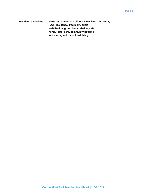| <b>Residential Services</b> | 100% Department of Children & Families<br>(DCF) residential treatment, crisis<br>stabilization, group home, shelter, safe<br>home, foster care, community housing<br>assistance, and transitional living. | No copay |
|-----------------------------|-----------------------------------------------------------------------------------------------------------------------------------------------------------------------------------------------------------|----------|
|-----------------------------|-----------------------------------------------------------------------------------------------------------------------------------------------------------------------------------------------------------|----------|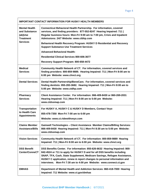| <b>IMPORTANT CONTACT INFORMATION FOR HUSKY HEALTH MEMBERS</b>        |                                                                                                                                                                                                                                                                                                                                                                                   |  |  |
|----------------------------------------------------------------------|-----------------------------------------------------------------------------------------------------------------------------------------------------------------------------------------------------------------------------------------------------------------------------------------------------------------------------------------------------------------------------------|--|--|
| <b>Mental Health</b><br>and Substance<br>(ab)Use<br><b>Treatment</b> | <b>Connecticut Behavioral Health Partnership. For information, covered</b><br>services, and finding providers: 877-552-8247 Hearing Impaired: 711  <br>Regular business hours: Mon-Fri 9:00 am to 7:00 pm, Crisis and Inpatient<br>Admissions: 24/7 Website: www.ctbhp.com                                                                                                        |  |  |
| <b>Services</b>                                                      | Behavioral Health Recovery Program: HUSKY D Residential and Recovery<br><b>Support Substance Use Treatment Services</b>                                                                                                                                                                                                                                                           |  |  |
|                                                                      | <b>Advanced Behavioral Health:</b>                                                                                                                                                                                                                                                                                                                                                |  |  |
|                                                                      | <b>Residential Clinical Services 800-606-3677</b>                                                                                                                                                                                                                                                                                                                                 |  |  |
|                                                                      | Recovery Support Program: 800-658-4472                                                                                                                                                                                                                                                                                                                                            |  |  |
| <b>Medical</b><br><b>Services</b>                                    | Community Health Network of CT. For information, covered services and<br>finding providers: 800-859-9889. Hearing Impaired: 711   Mon-Fri 8:00 am to<br>6:00 pm Website: www.chnct.org                                                                                                                                                                                            |  |  |
| <b>Dental Services</b>                                               | Dental Health Partnership/BeneCare. For information, covered services and<br>finding dentists: 855-283-3682. Hearing Impaired: 711   Mon-Fri 8:00 am to<br>5:00 pm Website: www.ctdhp.com                                                                                                                                                                                         |  |  |
| Pharmacy<br><b>Services</b>                                          | Client Assistance Center. For information: 866-409-8430 or 860-269-2031<br>Hearing Impaired: 711   Mon-Fri 8:00 am to 5:00 pm Website:<br>www.ctdssmap.com                                                                                                                                                                                                                        |  |  |
| <b>Transportation</b>                                                | For HUSKY A, HUSKY C & HUSKY D Members, Contact Veyo                                                                                                                                                                                                                                                                                                                              |  |  |
| to Health Care<br><b>Appointments</b>                                | 855-478-7350 Mon-Fri 7:00 am to 6:00 pm                                                                                                                                                                                                                                                                                                                                           |  |  |
|                                                                      | Website: www.ct.ridewithveyo.com                                                                                                                                                                                                                                                                                                                                                  |  |  |
| <b>Claims Member</b><br><b>Assistance/Bills</b>                      | <b>Gainwell Technologies - Client Assistance Member Claims/Billing Services:</b><br>866-409-8430 Hearing Impaired: 711   Mon-Fri 8:30 am to 5:00 pm Website:<br>www.ctdssmap.com                                                                                                                                                                                                  |  |  |
| <b>Vision Services</b>                                               | Community Health Network of CT. For information: 800-859-9889 Hearing<br>Impaired: 711   Mon-Fri 8:00 am to 6:00 pm Website: www.chnct.org                                                                                                                                                                                                                                        |  |  |
| <b>DSS Benefit</b><br>Center/ConneCT                                 | DSS Benefits Center. For information: 855-626-6632 Hearing Impaired: 800-<br>842-4524 or 711 to apply for HUSKY D and for all DSS benefits including<br>SNAP, TFA, Cash, State Supplement, Medicare Savings, Refugee Assistance,<br>HUSKY C application, renew & report changes to personal information and<br>interviews. Mon-Fri 7:30 am to 4:00 pm Website: www.connect.ct.gov |  |  |
| <b>DMHAS</b>                                                         | Department of Mental Health and Addiction Services: 860-418-7000 Hearing<br>Impaired: 711 Website: www.ct.gov/dmhas                                                                                                                                                                                                                                                               |  |  |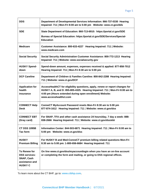| <b>DDS</b>                                                                                           | Department of Developmental Services Information: 866-737-0330 Hearing<br>Impaired: 711   Mon-Fri 8:00 am to 5:00 pm  Website: www.ct.gov/dds                                                                                                     |
|------------------------------------------------------------------------------------------------------|---------------------------------------------------------------------------------------------------------------------------------------------------------------------------------------------------------------------------------------------------|
| <b>SDE</b>                                                                                           | State Department of Education: 860-713-6910: https://portal.ct.gov/SDE<br>Bureau of Special Education: https://portal.ct.gov/SDE/Services/Special-<br><b>Education</b>                                                                            |
| <b>Medicare</b>                                                                                      | Customer Assistance: 800-633-4227 Hearing Impaired: 711   Website:<br>www.medicare.com                                                                                                                                                            |
| <b>Social Security</b>                                                                               | Social Security Administration Customer Assistance: 800-772-1213 Hearing<br>Impaired: 711   Website: www.socialsecurity.gov                                                                                                                       |
| <b>HUSKY Spend-</b><br>down                                                                          | Spend-down amount, expenses, expenses received & applied: 877-858-7012<br>Hearing Impaired: 711   Mon-Fri 8:30 am to 5:00 pm                                                                                                                      |
| <b>DCF Careline</b>                                                                                  | Department of Children & Families Careline: 800-842-2288 Hearing Impaired:<br>711   Website: www.ct.gov/DCF                                                                                                                                       |
| <b>Application for</b><br>health<br>insurance                                                        | AccessHealthCT for eligibility questions, apply, renew or report changes for<br>HUSKY A, B, and D: 855-805-4325. Hearing Impaired: 711   Mon-Fri 8:00 am to<br>4:00 pm (Hours extended during open enrollment) Website:<br>www.accesshealthct.com |
| <b>CONNECT Help</b><br><b>Desk</b>                                                                   | ConneCT MyAccount Password resets Mon-Fri 8:30 am to 5:00 pm<br>877-874-1612 Hearing Impaired: 711   Website: www.ct.gov/dss                                                                                                                      |
| <b>CONNECT EBT</b><br>(Gray card)                                                                    | For SNAP, TFA and other cash assistance 24 hours/day, 7 day a week: 888-<br>838-2666 Hearing Impaired: 711   Website: www.ct.gov/dss/ebt                                                                                                          |
| <b>CT DSS 1095B</b><br>Tax form                                                                      | Information Center: 844-503-6871 Hearing Impaired: 711   Mon-Fri 8:00 am to<br>5:00 pm Website: www.ct.gov/dss                                                                                                                                    |
| <b>HUSKY</b><br><b>Premium Billing</b>                                                               | For HUSKY B and Med-ConneCT premium billing related questions Mon-Fri<br>8:30 am to 5:00 pm: 1-800-656-6684 Hearing Impaired: 711                                                                                                                 |
| <b>To Renew for</b><br><b>DSS services:</b><br><b>SNAP, Cash</b><br>assistance and<br><b>HUSKY C</b> | On line www.ct.gov/dss/myaccountlogin when you have an on-line account<br>or completing the form and mailing, or going to DSS regional offices.                                                                                                   |

To learn more about the CT BHP, go to: **[www.ctbhp.com.](http://www.ctbhp.com/)**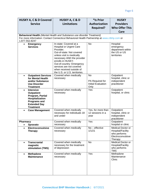| <b>HUSKY A, C &amp; D Covered</b>          | <b>HUSKY A, C &amp; D</b>                                                                   | *Is Prior                                    | <b>HUSKY</b>                      |
|--------------------------------------------|---------------------------------------------------------------------------------------------|----------------------------------------------|-----------------------------------|
| <b>Service</b>                             | <b>Limitations</b>                                                                          | <b>Authorization</b>                         | <b>Providers</b>                  |
|                                            |                                                                                             | <b>Required?</b>                             | <b>Who Offer This</b>             |
|                                            |                                                                                             |                                              | Care                              |
|                                            | Behavioral Health (Mental Health and Substance use disorder Treatment)                      |                                              |                                   |
| 1.877.552.8247                             | For more information: Contact Connecticut Behavioral Health Partnership at www.ctbhp.com or |                                              |                                   |
| <b>Emergency</b><br>$\bullet$              | In-state: Covered at a                                                                      | <b>No</b>                                    | Hospital                          |
| <b>Services</b>                            | <b>Hospital or Urgent Care</b>                                                              |                                              | emergency                         |
|                                            | Provider.<br>Out-of-state: Not covered                                                      |                                              | department within<br>the US or US |
|                                            | unless visit is medically                                                                   |                                              | territories                       |
|                                            | necessary AND the provider                                                                  |                                              |                                   |
|                                            | enrolls in HUSKY.                                                                           |                                              |                                   |
|                                            | Out-of-country: Emergency                                                                   |                                              |                                   |
|                                            | services are not covered<br>when received outside of                                        |                                              |                                   |
|                                            | the U.S. or U.S. territories.                                                               |                                              |                                   |
| <b>Outpatient Services</b><br>$\bullet$    | Covered when medically                                                                      | No                                           | Outpatient                        |
| for Mental Health                          | necessary                                                                                   |                                              | hospital, clinic or               |
| and/or Substance                           |                                                                                             | PA Required for<br><b>Initial Evaluation</b> | independent                       |
| <b>Use Disorder</b><br><b>Treatment</b>    |                                                                                             | Only                                         | practitioner                      |
| <b>Intensive</b><br>$\bullet$              | Covered when medically                                                                      | Yes                                          | Outpatient                        |
| <b>Outpatient</b>                          | necessary                                                                                   |                                              | hospital, or clinic               |
| Program, Partial                           |                                                                                             |                                              |                                   |
| Hospitalization                            |                                                                                             |                                              |                                   |
| <b>Programs and</b><br><b>Extended Day</b> |                                                                                             |                                              |                                   |
| <b>Treatment</b>                           |                                                                                             |                                              |                                   |
| <b>Case Management</b><br>$\bullet$        | Covered when medically                                                                      | Yes, for more than                           | Outpatient                        |
|                                            | necessary for individuals 18<br>and under                                                   | 12 sessions in a                             | hospital, clinic or               |
|                                            |                                                                                             | year                                         | independent<br>practitioner       |
| Pharmacy                                   | Covered when medically                                                                      | Yes                                          | Outpatient                        |
| <b>Spravato</b>                            | necessary                                                                                   |                                              | hospital or clinic                |
| Electroconvulsive<br>$\bullet$             | Covered when medically                                                                      | $No$ – effective                             | Medical Doctor or                 |
| <b>Therapy</b>                             | necessary                                                                                   | 1/1/21                                       | Hospital/Facility<br>who performs |
|                                            |                                                                                             |                                              | Electroconvulsive                 |
|                                            |                                                                                             |                                              | Therapy                           |
| <b>Transcranial</b><br>$\bullet$           | Covered when medically                                                                      | <b>No</b>                                    | <b>Medical Doctor or</b>          |
| magnetic                                   | necessary for the treatment                                                                 |                                              | Hospital/Facility                 |
| stimulation (TMS)                          | of depression                                                                               |                                              | who performs<br><b>TMS</b>        |
| <b>Methadone</b><br>$\bullet$              | Covered when medically                                                                      | Yes                                          | Methadone                         |
| <b>Maintenance</b>                         | necessary                                                                                   |                                              | Maintenance                       |
|                                            |                                                                                             |                                              | Clinic                            |
|                                            |                                                                                             |                                              |                                   |
|                                            |                                                                                             |                                              |                                   |
|                                            |                                                                                             |                                              |                                   |
|                                            |                                                                                             |                                              |                                   |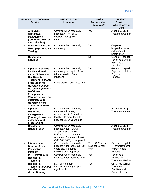|           | <b>HUSKY A, C &amp; D Covered</b>                                                                                                                                                                                                                                                                                                                          | HUSKY A, C & D                                                                                                                                                           | *Is Prior                                           | <b>HUSKY</b>                                                                         |
|-----------|------------------------------------------------------------------------------------------------------------------------------------------------------------------------------------------------------------------------------------------------------------------------------------------------------------------------------------------------------------|--------------------------------------------------------------------------------------------------------------------------------------------------------------------------|-----------------------------------------------------|--------------------------------------------------------------------------------------|
|           | <b>Service</b>                                                                                                                                                                                                                                                                                                                                             | Limitations                                                                                                                                                              | Authorization<br><b>Required?</b>                   | <b>Providers</b><br><b>Who Offer This</b><br>Care                                    |
| $\bullet$ | <b>Ambulatory</b><br><b>Withdrawal</b><br><b>Management</b><br>(formerly known as<br>detoxification)                                                                                                                                                                                                                                                       | Covered when medically<br>necessary, limit of 90<br>sessions per episode of<br>care                                                                                      | Yes,                                                | Alcohol & Drug<br><b>Treatment Center</b>                                            |
| $\bullet$ | <b>Psychological and</b><br>Neuropsychological<br><b>Testing</b>                                                                                                                                                                                                                                                                                           | Covered when medically<br>necessary                                                                                                                                      | Yes                                                 | Outpatient<br>hospital, clinic or<br>independent<br>practitioner                     |
| $\bullet$ | <b>Observation</b><br><b>Services</b>                                                                                                                                                                                                                                                                                                                      |                                                                                                                                                                          | No                                                  | General Hospital-<br>Psychiatric Unit or<br>Psychiatric<br>Hospital                  |
| $\bullet$ | <b>Inpatient Services</b><br>for Mental Health<br>and/or Substance<br><b>Use Disorder</b><br><b>Treatment (Includes</b><br><b>State Inpatient</b><br><b>Hospital, Inpatient</b><br><b>Hospital, Inpatient -</b><br><b>Withdrawal</b><br><b>Management</b><br>(formerly known as<br>detoxification)<br><b>Hospital, Crisis</b><br><b>Stabilization Bed)</b> | Covered when medically<br>necessary, exception 21 -<br>64 years old for State<br>Inpatient<br>Crisis stabilization up to age<br>21                                       | Yes                                                 | General Hospital-<br>Psychiatric Unit or<br>Psychiatric<br>Hospital                  |
| $\bullet$ | Inpatient<br>Withdrawal<br><b>Management</b><br>(formerly known as<br>detoxification)<br><b>Freestanding</b>                                                                                                                                                                                                                                               | Covered when medically<br>necessary in state,<br>exception out of state in a<br>facility with more than 16<br>beds for 21-64 years olds                                  | Yes                                                 | Alcohol & Drug<br><b>Treatment Center</b>                                            |
| $\bullet$ | <b>Residential</b><br><b>Rehabilitation</b>                                                                                                                                                                                                                                                                                                                | Covered when medically<br>necessary for HUSKY<br>A/Family Single only<br><b>HUSKY D must contact</b><br><b>Advanced Behavioral Health</b><br>(800-606-3677) for approval |                                                     | Alcohol & Drug<br><b>Treatment Center</b>                                            |
| $\bullet$ | <b>Intermediate</b><br><b>Duration Acute</b><br><b>Psychiatric</b><br>Inpatient                                                                                                                                                                                                                                                                            | Covered when medically<br>necessary for those over 18<br>years old. Requires<br>DMHAS prior approval                                                                     | Yes - St Vincent's<br><b>Medical Center</b><br>only | General Hospital<br>- Psychiatric Unit<br>or Psychiatric<br>Hospital                 |
| $\bullet$ | <b>PRTF-Psychiatric</b><br><b>Residential</b><br><b>Treatment</b>                                                                                                                                                                                                                                                                                          | Covered when medically<br>necessary for those up to 21                                                                                                                   | Yes                                                 | Psychiatric<br>Residential<br><b>Treatment Facility</b>                              |
| $\bullet$ | <b>Residential</b><br><b>Treatment (Includes</b><br><b>Residential and</b><br><b>Group Homes)</b>                                                                                                                                                                                                                                                          | DCF or Voluntary<br>Involvement Only - up to<br>age 21 only                                                                                                              | Yes                                                 | <b>Child Residential</b><br>Treatment<br><b>Facilities and</b><br><b>Group Homes</b> |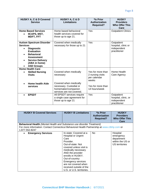| <b>HUSKY A, C &amp; D Covered</b><br><b>Service</b>                                                                                                                                                     | HUSKY A, C & D<br>Limitations                                                                                                                | *Is Prior<br>Authorization<br><b>Required?</b>                                                       | <b>HUSKY</b><br><b>Providers</b><br><b>Who Offer This</b><br>Care |
|---------------------------------------------------------------------------------------------------------------------------------------------------------------------------------------------------------|----------------------------------------------------------------------------------------------------------------------------------------------|------------------------------------------------------------------------------------------------------|-------------------------------------------------------------------|
| <b>Home Based Services</b><br><b>IICAPS, MST,</b><br><b>MDFT, FFT</b>                                                                                                                                   | Home based behavioral<br>health services covered for<br>those up to age 21.                                                                  | Yes                                                                                                  | <b>Outpatient Clinics</b>                                         |
| <b>Autism Spectrum Disorder</b><br><b>Services</b><br><b>Diagnostic</b><br><b>Evaluation</b><br><b>Behavioral</b><br><b>Assessment</b><br><b>Service Delivery</b><br>(ABA in home)<br><b>ASD Groups</b> | Covered when medically<br>necessary for those up to 21                                                                                       | Yes                                                                                                  | Outpatient<br>hospital, clinic or<br>independent<br>practitioner  |
| <b>Home Health Care</b><br><b>Skilled Nursing</b><br><b>Visits</b><br>Home health Aide<br>services                                                                                                      | Covered when medically<br>necessary<br>Covered when medically<br>necessary. Custodial or<br>homemaker/companion<br>services are not covered. | Yes for more than<br>2 nursing visits<br>per calendar<br>weeks<br>Yes for more than<br>14 hours/week | Home Health<br>Care Agency                                        |
| <b>EPSDT</b>                                                                                                                                                                                            | All EPSDT services require<br>a single case agreement for<br>those up to age 21                                                              | Yes                                                                                                  | Outpatient<br>hospital, clinic, or<br>independent<br>practitioner |

| <b>HUSKY B Covered Services</b>                                                                                                                                                                | <b>HUSKY B Limitations</b>                                                                                                                                                                                                                                                                                               | *Is Prior<br><b>Authorization</b><br><b>Required?</b> | <b>HUSKY</b><br><b>Providers</b><br><b>Who Offer This</b><br>Care         |
|------------------------------------------------------------------------------------------------------------------------------------------------------------------------------------------------|--------------------------------------------------------------------------------------------------------------------------------------------------------------------------------------------------------------------------------------------------------------------------------------------------------------------------|-------------------------------------------------------|---------------------------------------------------------------------------|
| <b>Behavioral Health</b> (Mental Health and Substance use disorder Treatment)<br>For more information: Contact Connecticut Behavioral Health Partnership at www.ctbhp.com or<br>1.877.552.8247 |                                                                                                                                                                                                                                                                                                                          |                                                       |                                                                           |
| <b>Emergency Services</b>                                                                                                                                                                      | In-state: Covered at a<br><b>Hospital or Urgent</b><br>Care<br>Provider.<br>Out-of-state: Not<br>covered unless visit is<br>medically necessary<br>AND the provider<br>enrolls in HUSKY.<br>Out-of-country:<br><b>Emergency services</b><br>are not covered when<br>received outside of the<br>U.S. or U.S. territories. | <b>No</b>                                             | Hospital<br>emergency<br>department<br>within the US or<br>US territories |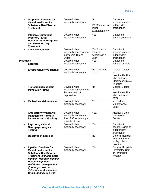| $\bullet$ | <b>Outpatient Services for</b><br><b>Mental Health and/or</b><br><b>Substance Use Disorder</b><br><b>Treatment</b>                                                                                                                                                                                                               | Covered when<br>medically necessary                                                 | <b>No</b><br>PA Required for<br>Initial<br>Evaluation only | Outpatient<br>hospital, clinic or<br>independent<br>practitioner                                 |
|-----------|----------------------------------------------------------------------------------------------------------------------------------------------------------------------------------------------------------------------------------------------------------------------------------------------------------------------------------|-------------------------------------------------------------------------------------|------------------------------------------------------------|--------------------------------------------------------------------------------------------------|
| $\bullet$ | <b>Intensive Outpatient</b><br>Program, Partial<br><b>Hospitalization Programs</b><br>and Extended Day<br><b>Treatment</b>                                                                                                                                                                                                       | Covered when<br>medically necessary                                                 | Yes                                                        | Outpatient<br>hospital, or clinic                                                                |
| $\bullet$ | <b>Case Management</b>                                                                                                                                                                                                                                                                                                           | Covered when<br>medically necessary for<br>individuals 18 and<br>under              | Yes for more<br>than 12<br>sessions in a<br>vear           | Outpatient<br>hospital, clinic or<br>independent<br>practitioner                                 |
| Pharmacy  | Spravato                                                                                                                                                                                                                                                                                                                         | Covered when<br>medically necessary                                                 | Yes                                                        | Outpatient<br>hospital or clinic                                                                 |
|           | <b>Electroconvulsive Therapy</b>                                                                                                                                                                                                                                                                                                 | Covered when<br>medically necessary                                                 | No - effective<br>1/1/21                                   | <b>Medical Doctor</b><br>or<br>Hospital/Facility<br>who performs<br>Electroconvulsive<br>Therapy |
| $\bullet$ | <b>Transcranial magnetic</b><br>stimulation (TMS)                                                                                                                                                                                                                                                                                | Covered when<br>medically necessary for<br>the treatment of<br>depression           | <b>No</b>                                                  | <b>Medical Doctor</b><br>or<br>Hospital/Facility<br>who performs<br><b>TMS</b>                   |
| $\bullet$ | <b>Methadone Maintenance</b>                                                                                                                                                                                                                                                                                                     | Covered when<br>medically necessary                                                 | Yes                                                        | Methadone<br>Maintenance<br>Clinic                                                               |
| $\bullet$ | <b>Ambulatory Withdrawal</b><br><b>Management (formerly</b><br>known as detoxification)                                                                                                                                                                                                                                          | Covered when<br>medically necessary,<br>limit of 90 sessions per<br>episode of care | Yes,                                                       | Alcohol & Drug<br>Treatment<br>Center                                                            |
| $\bullet$ | <b>Psychological and</b><br>Neuropsychological<br><b>Testing</b>                                                                                                                                                                                                                                                                 | Covered when<br>medically necessary                                                 | Yes                                                        | Outpatient<br>hospital, clinic or<br>independent<br>practitioner                                 |
| $\bullet$ | <b>Observation Services</b>                                                                                                                                                                                                                                                                                                      |                                                                                     | No                                                         | <b>General Hospital-</b><br>Psychiatric Unit<br>or Psychiatric<br>Hospital                       |
| $\bullet$ | <b>Inpatient Services for</b><br><b>Mental Health and/or</b><br><b>Substance Use Disorder</b><br><b>Treatment (Includes State</b><br><b>Inpatient Hospital, Inpatient</b><br><b>Hospital, Inpatient</b><br><b>Withdrawal Management</b><br>(formerly known as<br>detoxification) - Hospital,<br><b>Crisis Stabilization Bed)</b> | Covered when<br>medically necessary                                                 | Yes                                                        | General Hospital-<br><b>Psychiatric Unit</b><br>or Psychiatric<br>Hospital                       |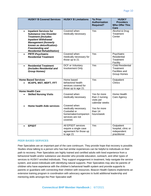| <b>HUSKY B Covered Services</b>                                                                                                                                                                                                                                       | <b>HUSKY B Limitations</b>                                                                                  | *Is Prior<br><b>Authorization</b><br><b>Required?</b>          | <b>HUSKY</b><br><b>Providers</b><br><b>Who Offer This</b><br><b>Care</b>      |
|-----------------------------------------------------------------------------------------------------------------------------------------------------------------------------------------------------------------------------------------------------------------------|-------------------------------------------------------------------------------------------------------------|----------------------------------------------------------------|-------------------------------------------------------------------------------|
| <b>Inpatient Services for</b><br>$\bullet$<br><b>Substance Use Disorder</b><br><b>Treatment (Includes</b><br><b>Inpatient Withdrawal</b><br><b>Management (formerly</b><br>known as detoxification)-<br><b>Freestanding and</b><br><b>Residential Rehabilitation)</b> | Covered when<br>medically necessary                                                                         | Yes                                                            | Alcohol & Drug<br>Treatment<br>Center                                         |
| <b>PRTF-Psychiatric</b><br>$\bullet$<br><b>Residential Treatment</b>                                                                                                                                                                                                  | Covered when<br>medically necessary for<br>those up to 21                                                   | Yes                                                            | Psychiatric<br>Residential<br>Treatment<br>Facility                           |
| <b>Residential Treatment</b><br>$\bullet$<br>(Includes Residential and<br><b>Group Homes)</b>                                                                                                                                                                         | DCF or Voluntary<br>Involvement Only                                                                        | Yes                                                            | <b>Child Residential</b><br>Treatment<br>Facilities and<br><b>Group Homes</b> |
| <b>Home Based Services</b><br>IICAPS, MST, MDFT, FFT<br>$\bullet$                                                                                                                                                                                                     | Home based<br>behavioral health<br>services covered for<br>those up to age 21.                              | $\overline{Yes}$                                               | Outpatient<br>Clinics                                                         |
| <b>Home Health Care</b>                                                                                                                                                                                                                                               |                                                                                                             |                                                                |                                                                               |
| <b>Skilled Nursing Visits</b><br>$\bullet$                                                                                                                                                                                                                            | Covered when<br>medically necessary                                                                         | Yes for more<br>than 2 nursing<br>visits per<br>calendar weeks | Home Health<br>Care Agency                                                    |
| <b>Home health Aide services</b>                                                                                                                                                                                                                                      | Covered when<br>medically necessary.<br>Custodial or<br>homemaker/companion<br>services are not<br>covered. | Yes for more<br>than 14<br>hours/week                          |                                                                               |
| <b>EPSDT</b>                                                                                                                                                                                                                                                          | All EPSDT services<br>require a single case<br>agreement for those up<br>to age 21                          | Yes                                                            | Outpatient<br>hospital, clinic or<br>independent<br>practitioner              |

# **PEER BASED SERVICES**

Peer Specialists are an important part of the care continuum. They provide hope that recovery is possible. Studies show talking to a person who has had similar experiences can be helpful to individuals on their path to recovery. Peer Specialists are highly trained and certified adults with lived experience from a behavioral health and/or substance use disorder who provide education, outreach, and other types of services to HUSKY enrolled individuals. They support engagement in treatment, help navigate the service system, and assist individuals with identifying natural supports. Peer Specialists may also be parents of children who have experience with the children's behavioral health system and provide supports to parents or guardians with connecting their children with resources. Beacon Health Options implements an extensive training program in coordination with advocacy agencies to build additional leadership and mentoring skills amongst the Peer Specialist staff.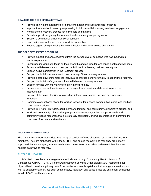### **GOALS OF THE PEER SPECIALIST TEAM**

- Provide training and assistance for behavioral health and substance use initiatives
- **■** Improve treatment outcomes by empowering individuals with improving treatment engagement
- Normalize the recovery process for individuals and families
- Provide support navigating the treatment and community support systems
- Support a community of non-traditional services
- Lend their voice to the recovery network in Connecticut
- Reduce stigma of experiencing behavioral health and substance use challenges

### **THE ROLE OF THE PEER SPECIALIST**

- **•** Provide support and encouragement from the perspective of someone who has lived with a similar experience
- **Encourage individuals to focus on their strengths and abilities for long range health and wellness**
- **Promote skill development and support individuals in achieving their recovery goals**
- Support active participation in the treatment process
- Support the individuals as a mentor and sharing of their recovery journey
- **•** Provide a safe environment for the individual to practice behaviors that will support their recovery
- **EXECT** Support the individual's goals and their self-directed recovery journey.
- Support families with maintaining children in their homes.
- **•** Promote recovery and resiliency by providing outreach services while serving as a role model/mentor
- **EXECT** Support children and families who need assistance in accessing services or engaging in treatment
- Coordinate educational efforts for families, schools, faith-based communities, social and medical health care providers
- Provide training for providers, adult members, families, and community collaborative groups, and
- Work with community collaborative groups and advocacy agencies to support family and community-based resources that are culturally competent, and which embrace and promote the principles of recovery and resiliency

### **RECOVERY AND RESILIENCY**

The ASO includes Peer Specialists in an array of services offered directly to, or on behalf of, HUSKY members. They are embedded within the CT BHP and ensure recovery and resiliency are not only supported, but encouraged, from outreach to outcomes. Peer Specialists understand that there are multiple pathways to recovery.

### **PHYSICAL HEALTH**

HUSKY Health members receive general medical care through Community Health Network of Connecticut (CHN CT). CHN CT is the Administrative Services Organization (ASO) responsible for physical health services, primary care & preventive services, hospital medical emergency services, as well as supplemental services such as laboratory, radiology, and durable medical equipment as needed for all HUSKY Health members.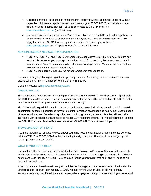- Children, parents or caretakers of minor children, pregnant women and adults under 65 without dependent children can apply or renew health coverage at 855-805-4325. Individuals who are deaf or hearing impaired can call 711 to be connected to CT BHP or on line: [www.accesshealthct.com](http://www.accesshealthct.com/) (quickest way),
- Households and individuals who are 65 and older, blind or with disability and wish to apply for, or renew Medicaid (HUSKY C) or Medicaid for Employees with Disabilities (MED-Connect). To apply for or renew SNAP (food stamps) and/or cash assistance, apply online at [www.connect.ct.gov,](http://www.connect.ct.gov/) under "Apply for Benefits" or at a DSS office.

### **NON-EMERGENCY MEDICAL TRANSPORTATION**

- HUSKY A, HUSKY C, and HUSKY D members may contact Veyo at: 855-478-7350 to learn how to schedule non-emergency transportation rides to and from medical, dental and mental health appointments. Appointments need to be scheduled two days ahead. Members can also make a reservation on-line at www.ct.ridewithveyo.
- **EXECT:** HUSKY B members are not covered for non-emergency transportation.

If you are having a problem getting a ride to your appointment after calling the transportation company, please call the CT BHP Member Service line at 877-552-8247.

Visit their website at<https://ct.ridewithveyo.com/>

### **DENTAL HEALTH**

The Connecticut Dental Health Partnership (CTDHP) is part of the HUSKY Health program. Specifically, the CTDHP provides management and customer service for the dental benefits portion of HUSKY Health. Orthodontic services are provided only to members under age 21.

The CTDHP will help eligible members locate a participating network dentist or dental specialist, provide appointment scheduling assistance for families, offer translation assistance and help with the coordination of transportation to and from dental appointments, including locating a dental office that will work with individuals with special healthcare needs or require ADA accommodations. For more information, contact the CTDHP Customer Service Representatives at 1-866-420-2924 or visit www.ctdhp.com.

### **TRAVELING OUT OF STATE**

If you are traveling out of state and you and/or your child need mental health or substance use services, call the CT BHP at 877-552-8247 for help in finding the right provider. However, in an emergency, call 911 or go to the nearest hospital.

# **WHAT IF YOU GET A BILL?**

If you get a bill for services, call the Connecticut Medical Assistance Program's Client Assistance Center at 866-409-8430 for someone to help research it for you. Gainwell Technologies processes the claims for health care visits for HUSKY Health. You can also remind your provider that he or she will need to bill Gainwell Technologies.

**Note:** If you are a Limited Benefit Program recipient and you get a bill for the service provided under the Limited Benefit Program after January 1, 2006, you can remind your provider to bill your primary insurance company first. If the insurance company denies payment and you receive a bill, you can remind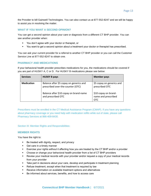the Provider to bill Gainwell Technologies. You can also contact us at 877-552-8247 and we will be happy to assist you in resolving the matter.

### **WHAT IF YOU WANT A SECOND OPINION?**

You can get a second opinion about your care or diagnosis from a different CT BHP provider. You can see another provider when:

- You don't agree with your doctor or therapist, or
- You want to get a second opinion about a treatment your doctor or therapist has prescribed.

You can ask your current provider for a referral to another CT BHP provider or you can call the Customer Service Line at 877-552-8247 to obtain one.

# **PHARMACY AND MEDICATIONS**

If your behavioral health provider prescribes medications for you, the medications should be covered if you are part of HUSKY A, C or D. For HUSKY B medications please see below:

| <b>Services</b>   | <b>HUSKY B pays</b>                                                          | <b>Member pays</b>                                 |
|-------------------|------------------------------------------------------------------------------|----------------------------------------------------|
| <b>Medication</b> | Balance after \$5 copay on generics and<br>prescribed over-the-counter (OTC) | \$5 copay on generics and<br>prescribed OTC        |
|                   | Balance after \$10 copay on brand-name<br>and prescribed OTC                 | \$10 copay on brand-<br>name and prescribed<br>OTC |

Prescribers must be enrolled in the CT Medical Assistance Program (CMAP). If you have any questions about pharmacy coverage or you need help with medication refills while out of state, please call Pharmacy Services at 866-409-8430.

Section III: Member Rights and Responsibilities:

### **MEMBER RIGHTS**

You have the right to:

- Be treated with dignity, respect, and privacy
- Get care in a timely manner
- Exercise your rights without it affecting how you are treated by the CT BHP and/or a provider
- Choose or change your behavioral health provider from a list of CT BHP providers
- **EXECT** Review your medical records with your provider and/or request a copy of your medical records from your provider
- **EXECT** Take part in decisions about your care, develop and participate in treatment planning
- Refuse treatment, except when that treatment is required by law
- Receive information on available treatment options and alternatives
- Be informed about services, benefits, and how to access care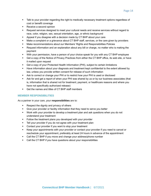- **■** Talk to your provider regarding the right to medically necessary treatment options regardless of cost or benefit coverage
- Receive a second opinion
- Request services designed to meet your cultural needs and receive services without regard to race, color, religion, sex, sexual orientation, age, or ethnic background
- Appeal if you disagree with a decision made by CT BHP about your care
- **■** Make a complaint or a grievance about CT BHP staff, services, or the care given by providers
- Make recommendations about our Members' Rights and Responsibilities Policies
- **EXEL A** Request information and an explanation about any bill or charge, no matter who is making the payment
- With your permission, have a person of your choice speak for you with any CT BHP employee
- Get a copy of the Notice of Privacy Practices from either the CT BHP office, its web site, or have it mailed upon request
- Get a copy of your Protected Health Information (PHI), subject to certain limitations
- Have information about your diagnosis and treatment kept confidential to the extent allowed by law, unless you provide written consent for release of such information
- **EXEL Ask to correct or change your PHI or to restrict how your PHI is used or disclosed**
- **EXEL Ask for and get a report of when your PHI was shared by us or by our business associates (that** is, information that is shared not for treatment, payment, or healthcare reasons and where you have not specifically authorized release)
- Get the names and titles of CT BHP staff members

# **MEMBER RESPONSIBILITIES**

As a partner in your care, your **responsibilities** are to:

- Respect the dignity and privacy of others
- **EXED** Give your provider or facility information that they need to serve you better
- Work with your provider to develop a treatment plan and ask questions when you do not understand your treatment
- Follow the treatment plans you developed with your provider
- **EXTEL** Your provider if you do not agree with your treatment plan
- Contact your provider if you want to stop your treatment
- Keep your appointments with your provider or contact your provider if you need to cancel or reschedule your appointment, preferably at least 24 hours in advance of the appointment
- Call the CT BHP if you move and change your address/phone number
- Call the CT BHP if you have questions about your responsibilities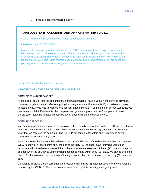o If you are hearing impaired, call 711

# **YOUR QUESTIONS, CONCERNS, AND OPINIONS MATTER TO US…**

As a CT BHP member, you have the right to speak to us at any time.

Please call us at 877-552-8247.

If you would like more information about the CT BHP, or you would like to express your opinion, feel free to contact us! Please do not wait. Share your thoughts with us right away. No question or concern is too small. Remember, your feedback and active involvement will truly help you get the most out of your care. Most concerns can be solved quickly and informally. In rare situations you may want to use more formal ways to solve your concern.

### Section IV: Quality Management Program

### **WHAT IF YOU HAVE A PROBLEM WITH SERVICES?**

### **COMPLAINTS AND GRIEVANCES**

All members, adults, families and children, along with providers, have a voice in the services provided. A complaint or grievance can refer to anything involving your care. For example, if you believe you were treated unfairly, if you had to wait too long for your appointment, or if you felt a staff person was rude, you can file a complaint. Please note: the complaint and grievance process is not for appeals of denied clinical care. Read the appeals process below for appeals related to denial of care.

### **COMPLAINT PROCESS**

You or your representative may file a complaint, either verbally or in writing, to the CT BHP at the address and phone number listed below. The CT BHP will send a letter within five (5) calendar days to let you know that we received the complaint. The CT BHP will send a letter within one (1) business day for complaints about emergency care.

We will try to resolve the complaint within thirty (30) calendar days of the date we receive your complaint. We will send you a letter before or by the end of the thirty (30) calendar days informing you of our decision and how we have addressed the problem. A one-time extension of fifteen (15) calendar days can be used when the solution to your complaint cannot be made within thirty (30) days. We can do this if the reason for the extension is for your benefit and you are notified prior to the end of the thirty (30) calendar days.

Complaints involving urgent care should be resolved within three (3) calendar days after the complaint is received by the CT BHP. There are no extensions for complaints involving emergency care.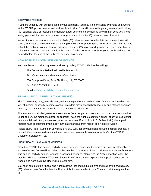### **GRIEVANCE PROCESS**

If you are unhappy with our resolution of your complaint, you may file a grievance by phone or in writing at the CT BHP phone number and address listed below. You will have to file your grievance within ninety (90) calendar days of receiving our decision about your original complaint. We will then send you a letter letting you know that we have received your grievance within five (5) calendar days of receipt.

We will try to solve your grievance within thirty (30) calendar days from the date we receive it. We will send you a letter before the end of the thirty (30) calendar days telling you our decision and how we have solved the problem. We can take an extension of fifteen (15) calendar days when we need more time to solve your grievance. We can do this if the reason for the extension is only for your benefit and you are notified before the end of the thirty (30) calendar day period.

# **HOW TO FILE A COMPLAINT OR GRIEVANCE**

You can file a complaint or grievance either by calling 877-552-8247, or by writing to:

The Connecticut Behavioral Health Partnership Attn: Complaints and Grievances Coordinator 500 Enterprise Drive, Suite 3D, Rocky Hill, CT 06067 Fax: 855-575-6532 (toll free) Email: [ctbhpappeals@beaconhealthoptions.com](mailto:ctbhpappeals@beaconhealthoptions.com)

# **FILING CLINICAL APPEALS (CHALLENGES)**

The CT BHP may deny, partially deny, reduce, suspend or end authorization for services based on the lack of medical necessity. Members and/or providers may appeal (challenge) any one of these decisions made by the CT BHP. An appeal is not a complaint or grievance.

All members or their designated representatives (for example, a conservator, or if the member is a minor under age 14, the member's parent or guardian) have the right to submit an appeal of any clinical denial, partial denial, reduction, suspension, or ended services. For HUSKY A, C, D (Medicaid), the appeal request must be submitted within sixty (60) calendar days from receipt of a Notice of Action.

Please call CT BHP Customer Service at 877-552-8247 for any questions about the appeal process. If needed, the information describing these processes is available in other formats: Call the CT BHP Customer Services or 711.

### **HUSKY HEALTH (A, C, AND D) MEMBERS**

Once the CT BHP has denied, partially denied, reduced, suspended or ended services, a letter called a Notice of Action (NOA) will be mailed to the member. The Notice of Action will state why a specific service was denied, partially denied, reduced, suspended or ended. Along with the Notice of Action letter, the member will also receive a "What You Should Know" letter, which explains the appeal process and an Appeal and Administrative Hearing Request Form.

You must complete the Appeal and Administrative Hearing Request Form and mail or fax it within sixty (60) calendar days from the date the Notice of Action was mailed to you. You can mail the request form to: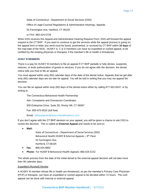State of Connecticut - Department of Social Services (DSS)

Office of Legal Counsel Regulations & Administrative Hearings, Appeals

55 Farmington Ave, Hartford, CT 06105

or FAX: 860-424-5729

When DSS receives this Appeal and Administrative Hearing Request Form, DSS will forward the appeal request to the CT BHP. If you want to continue to get the services while the appeal process is going on, the appeal form or letter you send must be faxed, postmarked, or received by CT BHP within **10 days** of the mail date of the NOA. HUSKY A, C & D members can have an expedited or rushed appeal, to be certified by the treating physician or therapist, if the member's life or health is threatened.

# **HUSKY B MEMBERS**

There is a way for HUSKY B members to file an appeal if CT BHP partially or fully denies, suspends, reduces, or ends authorization of goods or services. If you do not agree with the decision, the denial notice tells you how to file an appeal.

You must appeal within sixty (60) calendar days of the date of the denial notice. Appeals that we get after sixty (60) calendar days are too late for appeal. You will be told in writing that you may not appeal the decision.

You can file an appeal within sixty (60) days of the denial notice either by calling 877-552-8247, or by writing to:

The Connecticut Behavioral Health Partnership

Attn: Complaints and Grievances Coordinator

500 Enterprise Drive, Suite 3D, Rocky Hill, CT 06067

Fax: 855-575-6532 (toll free)

Email: [ctbhpappeals@beaconhealthoptions.com](mailto:ctbhpappeals@beaconhealthoptions.com)

If you don't agree with the CT BHP decision on your appeal, you will be given a chance to ask DSS to review the decision. This is called an **External Appeal** and needs to be sent to:

• **Mail:**

State of Connecticut – Department of Social Services (DSS) Behavioral Health HUSKY B External Appeals – 9<sup>th</sup> Floor 55 Farmington Ave. Hartford, CT 06105

- **Fax:** 860.424.4892
- **Phone:** For HUSKY B Behavioral Health Appeals: 860.424.5152

The whole process from the date of the initial denial to the external appeal decision will not take more than 90 calendar days.

### *Expedited (Rushed) Review*

A HUSKY B member whose life or health are threatened, as per the member's Primary Care Physician (PCP) or therapist, can have an expedited or rushed appeal to be decided within 72 hours. The rush appeal can be done with internal or external appeal.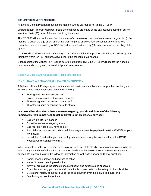### **DCF LIMITED BENEFITS MEMBERS**

All Limited Benefit Program requests are made in writing via mail or fax to the CT BHP.

Limited Benefit Program Member Appeal determinations are made at the earliest point possible, but no later than thirty (30) days of the member filing the appeal.

The CT BHP will mail to the member, the member's conservator, the member's parent, or guardian (if the member is under the age of 14) and/or the DCF Regional office contact person for any child who is committed to or in the custody of DCF, by certified mail, within thirty (30) calendar days of the filing of the appeal.

CT BHP will provide DCF with a summary of the initial denial and Appeal for all Limited Benefit Program Members within ten (10) business days prior to the scheduled fair hearing.

Upon receipt of the Appeal Fair Hearing determination from DCF, the CT BHP will update the Appeals database and comply with the Level II Appeal determination.

### Section V: Understanding Behavioral Health Emergencies

# **IF YOU HAVE A BEHAVIORAL HEALTH EMERGENCY**

A Behavioral Health Emergency is a serious mental health and/or substance use problem involving an individual who is demonstrating one of the following:

- Placing their health at serious risk
- **EXEDENT** Having disorganized or dangerous thoughts
- **EXED Threatening harm or causing harm to self, or**
- **•** Threatening harm or causing harm to others

# **In a mental health and/or substance use emergency, you should do one of the following immediately (you do not need to get approval to get emergency services):**

- Call 911 if a life is in danger
- Go to the nearest emergency room
- Call your provider, if you have one, or
- If a child or adolescent is in crisis, call the emergency mobile psychiatric service (EMPS) for your town at 211
- **•** For adults 18 and older, you can identify crisis services using the town locator on the DMHAS website: Crisis Services or call 911

When you call for help, try to remain calm, stay focused and state clearly why you and/or your child is not safe or why the safety of others is at risk. Speak clearly. Let the person know why emergency care is needed. Be prepared to give the following information as well as to answer additional questions:

- Name, phone number, and address of caller
- Name of person needing evaluation
- Why you are calling including diagnosis if known and actions/signs observed
- **Examples as to why you or your child is not able to keep safe, or the safety of others is at risk**
- **EXECT** Give a brief history of the build up to the crisis situation over the last 24-48 hours, and
- Past history of hospitalizations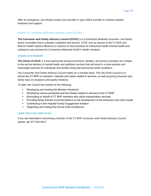After an emergency, you should contact your provider or your child's provider to continue needed treatment and support.

### Section VI: Consumer and Family Advisory Council (CFAC)

**The Consumer and Family Advisory Council (CFAC)** is a Connecticut Medicaid consumer- and familydriven committee that is culturally competent and diverse. CFAC acts as advisor to the CT BHP and Beacon Health Options (Beacon) to improve on best practices for behavioral health (mental health and substance use) services for Connecticut Medicaid HUSKY Health members.

### **VISION STATEMENT**

**The Vision of CFAC** is a true partnership among consumers, families, and service providers as it relates to the service delivery of mental health and addiction services that will result in a more positive and meaningful outcome for individuals and families living with behavioral health conditions.

The Consumer and Family Advisory Council meets on a monthly basis. The role of the Council is to advise the CT BHP on members' interests and needs related to services, as well as giving consumer and family input on programs and quality initiatives.

To date, the Council has worked on the following:

- Developing and revising the Member Handbook
- Developing various pamphlets and fact sheets related to services at the CT BHP
- Advocating on behalf of CT BHP members who utilize transportation services
- **•** Providing family-friendly recommendations on the development of the enhanced care clinic model
- Contributing to the Hospital Family Engagement Initiative
- Organizing and hosting the Annual iCAN Conference

### **HOW YOU CAN JOIN CFAC**

If you are interested in becoming a member of the CT BHP Consumer and Family Advisory Council, please call: 877-552-8247.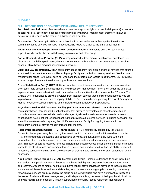# APPENDIX

### **FULL DESCRIPTION OF COVERED BEHAVIORAL HEALTH SERVICES**

**Psychiatric Hospitalization:** Services where a member stays overnight at a hospital (inpatient) either at a general hospital, psychiatric hospital, or freestanding withdrawal management (formerly known as detoxification) service in the case of a substance use disorder.

**Observation:** Services up to 48 hours at a hospital to assess whether further inpatient services or community-based services might be needed, usually following a visit to the Emergency Room.

**Withdrawal Management (formally known as detoxification):** Immediate and short-term clinical support to individuals who are withdrawing from alcohol and other drugs.

**Partial Hospitalization Program (PHP):** A program used to treat mental health and/or substance use disorders. In partial hospitalization, the member continues to live at home, but commutes to a hospitalbased or clinic-based program several days per week.

**Extended Day Treatment (EDT):** A community-based program for children and their families that offers a structured, intensive, therapeutic milieu with group, family and individual therapy services. Services are typically after school for several days per week and the program can last up to six months. EDT provides a broad range of treatment services and psycho-social interventions.

**Crisis Stabilization Bed (CARES Unit):** An inpatient crisis intervention service that provides intensive short-term rapid assessment, stabilization, and disposition management for children under the age of 18 experiencing an acute behavioral health crisis who can be stabilized or discharged within 72 hours. The CARES Unit is designed to provide diversion from inpatient care for those children/adolescents who are in psychiatric crisis and who can be rapidly stabilized. Referrals will come primarily from local Emergency Mobile Psychiatric Services (EMPS) and affiliated Hospital Emergency Departments.

**Psychiatric Residential Treatment Facility (PRTF – sometimes referred to as sub-acute):** A community based (non-hospital) inpatient facility that provides psychiatric and other therapeutic and clinically informed services to individuals under age 21, whose immediate treatment needs require a structured 24-hour inpatient residential setting that provides all required services (including schooling) on site while simultaneously preparing the child/adolescent and family for ongoing treatment in the community. Length of stay is typically three to four months.

**Residential Treatment Center (RTC – through DCF):** A 24-hour facility licensed by the State of Connecticut or appropriately licensed by the state in which it is located, and not licensed as a hospital. RTC offers integrated therapeutic and educational services, and activities of daily living within the parameters of a clinically informed milieu and based on a well-defined, individually tailored treatment plan. This level of care is reserved for those children/adolescents whose psychiatric and behavioral status warrants the structure and supervision afforded by a self-contained setting that has the ability to offer all necessary services including an on-site educational program, and provide line of sight supervision when necessary.

**Adult Group Homes through DMHAS:** Mental Health Group Homes are designed to assist individuals with serious and persistent mental illnesses to achieve their highest degree of independent functioning and recovery. Access to mental health group home rehabilitative services is provided to those recipients whose mental illness is as serious and disabling as to require care in a group home setting. Necessary rehabilitative services are provided by the group home to individuals who have significant skill deficits in the areas of self-care, illness management, and independent living because of their psychiatric disability, and who require a non-hospital, 24/seven supervised community–based residence. Rehabilitative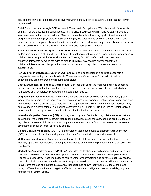services are provided in a structured recovery environment, with on-site staffing 24 hours a day, seven days a week.

**Child Group Homes through DCF:** A Level II Therapeutic Group Home (TGH) is a small, four- to- six bed, DCF or DDS licensed program located in a neighborhood setting with intensive staffing level and services offered within the context of a 24/seven home-like milieu. It is a highly structured treatment program that creates a physically, emotionally and psychologically safe environment for children and adolescents with complex behavioral health needs who require additional support and clinical intervention to succeed either in a family environment or in an independent living situation.

**Home-Based Services for Ages 21 and Under:** Intensive treatment models that take place in the home and/or community of a child and family. Each individual treatment focuses on specific behavioral issues in children. For example, Multi-Dimensional Family Therapy (MDFT) is effective in the treatment of children/adolescents between the ages of nine to 18 with substance use and/or concerns, or children/adolescents with disruptive behavior and/or co-morbid psychiatric issues who are at risk for substance use.

**For Children in Congregate Care for DCF:** Special 1-to-1 supervision of a child/adolescent in a congregate care setting such as Residential Treatment or a Group Home for a period to address behaviors that are dangerous and require stabilization.

**Case Management for under 19 years of age:** Services that assist the member in gaining access to needed medical, social, educational, and other services, as defined in the plan of care, and which are reimbursed only for services provided to members under age 21.

**Outpatient Services:** Behavioral health evaluation and treatment services such as individual, group, family therapy, medication management, psychological and developmental testing, consultation, and case management that are provided to people who have a primary behavioral health diagnosis. Services may be provided in a freestanding clinic, hospital outpatient clinic, Federally Qualified Health Center, or by a group practice or solo practitioner who is a licensed behavioral health professional.

**Intensive Outpatient Services (IOP):** An integrated program of outpatient psychiatric services that are designed for more intensive treatment than routine outpatient psychiatric services and are provided at a psychiatric outpatient clinic for adults, an outpatient treatment service for substance use, an outpatient psychiatric clinic for children, or hospital setting.

**Electro Convulsive Therapy (ECT):** Brain stimulation techniques such as electroconvulsive therapy (ECT) can be used to treat major depression that hasn't responded to standard treatments.

**Methadone Maintenance:** Treatment where the goal is to stabilize a member on methadone or other federally approved medication for as long as is needed to avoid return to previous patterns of substance use disorder.

**Medication Assisted Treatment (MAT):** MAT includes the treatment of both opioid and alcohol to treat substance use disorders. The FDA has approved several different medications to treat Opioid Use and Alcohol Use Disorders. These medications relieve withdrawal symptoms and psychological cravings that cause chemical imbalances in the body. MAT programs provide a safe and controlled level of medication to overcome the use of a misused substance. Research has shown that when provided at the proper dose, MAT medications have no negative effects on a person's intelligence, mental capability, physical functioning, or employability.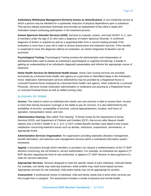**Ambulatory Withdrawal Management (formerly known as detoxification):** A non-residential service to which a person may be admitted for a systematic reduction of physical dependence upon a substance. This service utilizes prescribed chemicals and provides an assessment of the client's needs and motivation toward continuing participation in the treatment process.

**Autism Spectrum Disorder Services (ASD):** Services to evaluate, assess, and treat HUSKY A, C, and D members under the age of 21 who have a diagnosis of Autism Spectrum Disorder. A confirmed diagnosis of Autism is required as well as a supporting letter from a current treating provider if the evaluation is more than a year old in order to access assessment and treatment services. If the member is suspected to have this diagnosis without an evaluation, an Autism Diagnostic Evaluation can be accessed.

**Psychological Testing:** Psychological Testing involves the administration and interpretation of standardized tests used to assess an individual's psychological or cognitive functioning. It assists in gaining an understanding of an individual's diagnostic presentation and informs the appropriate course of treatment.

**Home Health Services for Behavioral Health Issues:** Home Care nursing services are provided exclusively by a licensed home health care agency on a part-time or intermittent basis in the individual's home. Medication Administration services (MedAdmin) may be provided by a Registered Nurse or Licensed Practical Nurse employed by a licensed home health care agency, when ordered by a Licensed Physician. Services include medication administration or medication pre-pouring by a Registered Nurse or Licensed Practical Nurse as well as skilled nursing visits.

# **GLOSSARY OF TERMS**

**Access:** The extent to which an individual who needs care and services is able to receive them. Access is more than having insurance coverage or the ability to pay for services. It is also determined by the availability of services, acceptability of services, cultural appropriateness, location, and hours of operation, transportation needs, and cost.

**Administrative Hearing:** Also called "Fair Hearing". A formal review by the Department of Social Services (DSS), and Department of Children and Families (DCF), that occurs after Beacon Health Options and a HUSKY Health A, B, C, & D, or DCF Limited Benefit member have failed to find mutual satisfaction concerning treatment issues such as denials, reductions, suspensions, terminations, or appropriate levels.

**Administrative Services Organization:** An organization providing statewide utilization management, benefit information, and intensive care management services within a centralized information system framework.

**Appeal:** A procedure through which members or providers can request a redetermination of the CT BHP decision concerning, but not limited to, service authorization. For example, an individual can appeal a CT BHP decision regarding the level of care authorized, or appeal a CT BHP decision to deny payment of a claim for services delivered.

**Appropriate Services:** Services designed to meet the specific needs of each individual, child and family. For example, one family may need day treatment, while another may need home-based services. Appropriate services for one individual, child and/or family may not be appropriate for another.

**Assessment:** A professional review of individual, child and family needs that is done when services are first sought from a caregiver. The assessment includes a review of physical and mental health,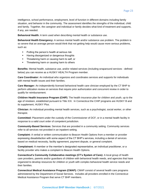Page 23

intelligence, school performance, employment, level of function in different domains including family situation, and behavior in the community. The assessment identifies the strengths of the individual, child and family. Together, the caregiver and individual or family decides what kind of treatment and supports, if any, are needed.

**Behavioral Health:** A term used when describing mental health or substance use.

**Behavioral Health Emergency:** A serious mental health and/or substance use problem. The problem is so severe that an average person would think that not getting help would cause more serious problems, such as:

- Putting the person's health at serious risk
- Having disorganized or dangerous thoughts
- **•** Threatening harm or causing harm to self, or
- **•** Threatening harm or causing harm to others

**Benefits:** Mental health, substance use, and/or related services (including wraparound services - defined below) you can receive as a HUSKY HEALTH Program member.

**Care Coordinator:** An individual who organizes and coordinates services and supports for individuals with mental health issues and their families.

**Care Manager:** An independently licensed behavioral health care clinician employed by the CT BHP to perform utilization review on services that require prior authorization and concurrent review in order to qualify for reimbursement.

**Children Health Insurance Program (CHIP)**: The health insurance plan for children and youth, up to the age of nineteen, established pursuant to Title XXI. In Connecticut the CHIP programs are HUSKY B and its supplement, HUSKY Plus.

**Clinician:** An individual providing mental health services, such as a psychologist, social worker, or other therapist.

**Committed:** Placement under the custody of the Commissioner of DCF, or in a mental health facility in response to a valid court order of competent jurisdiction.

**Community-Based Services:** Services that are provided in a community setting. Community services refer to all services not provided in an inpatient setting.

**Complaint:** A verbal or written communication to Beacon Health Options from a member or provider expressing dissatisfaction with some aspect of the CT BHP's services, including a denial of services based on medical necessity, facility agreement, payment dispute, or general complaint.

**Complainant:** A member or the member's designated representative, an individual practitioner, or a facility provider who makes a complaint to Beacon Health Options.

**Connecticut's Community Collaborative meetings (CT's System of Care):** A local group of health care providers, parents and/or guardians of children with behavioral health needs, and agencies that have organized to develop resources for children or youth with complex behavioral health service needs and their families.

**Connecticut Medical Assistance Program (CMAP):** CMAP consist of several health care programs administered by the Department of Social Services. Includes all providers enrolled in the Connecticut Medical Assistance Program that serve CT BHP members.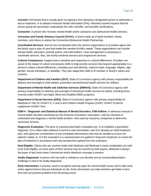**Consent:** Permission that is usually given by signing a form allowing a designated person to administer a test or treatment, or to release Protected Health Information (PHI). Informed consent requires that the person giving the permission understands the risks, benefits, and possible ramifications.

**Consumer:** A person who receives mental health and/or substance use (behavioral health) services.

**Consumer and Family Advisory Council (CFAC):** A board made up of adult members, family members, and others to advise the Connecticut Behavioral Health Partnership.

**Coordinated Services:** Service are coordinated when the service organizations or providers agree with the family upon a plan of care that meets the member's/child's needs. These organizations can include mental health, education, juvenile justice, and child welfare. Case management is necessary to coordinate services. Also, see family-centered services and wraparound services.

**Cultural Competence:** Support that is sensitive and responsive to cultural differences. Providers are aware of the impact of culture and possess skills to help provide services that respond appropriately to a person's unique cultural differences, including race and ethnicity, national origin, language, religion, age, gender, sexual orientation, or disability. They also adapt their skills to fit member or family's values and customs.

**Department of Children and Families (DCF):** State of Connecticut agency with primary responsibility for delivery and oversight of child welfare, prevention and behavioral health services for children.

**Department of Mental Health and Addiction Services (DMHAS):** State of Connecticut agency with primary responsibility for delivery and oversight of behavioral health services for adults, including those covered under HUSKY and Aged, Blind and Disabled (ABD) programs.

**Department of Social Services (DSS):** State of Connecticut agency with primary responsibility for Medicaid or Title 19: HUSKY A, C and D and Children Health Program (CHIP): HUSKY B and its supplement HUSKY Plus.

**DSM-V - Diagnostic and Statistical Manual of Mental Disorders, Fifth Edition:** A reference manual of mental health disorders developed by the American Psychiatric Association, used by clinicians to understand and diagnose a mental health problem. Also used by insurance companies to determine necessary services.

**Diagnostic Evaluation:** The aims of a general psychiatric evaluation are: 1) to establish a psychiatric diagnosis; 2) to collect data sufficient to permit a case formulation; and 3) to develop an initial treatment plan, with particular consideration of any immediate interventions that may be needed to ensure the patient's safety; or, 4) if the evaluation is a reassessment of a patient in long-term treatment, to revise the plan of treatment in accordance with new perspectives gained from the evaluation.

**Dual Eligible:** Clients who are covered under both Medicare and Medicaid in some combination are said to be Dual Eligible, as some parts of their services may be covered by both payers. Medicaid is always the payer of last resort when Commercial and/or Medicare coverage is present.

**Dually Diagnosed:** A person who has both a substance use disorder and an emotional/psychiatric challenge is said to be dually diagnosed.

**Early Intervention:** A process used to recognize warning signs for mental health issues and to take early action against factors that put individuals at risk. Early intervention can help members get better in less time and can prevent problems from becoming worse.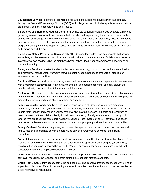**Educational Services:** Locating or providing a full range of educational services from basic literacy through the General Equivalency Diploma (GED) and college courses. Includes special education at the pre-primary, primary, secondary, and adult levels.

**Emergency or Emergency Medical Condition:** A medical condition characterized by acute symptoms (including severe pain) of sufficient severity that the individual experiencing them, or most reasonable people with an average knowledge of medicine observing them, would conclude they needed immediate medical attention or risk: placing their health (and/or the health of their unborn baby in the case of a pregnant woman) in serious jeopardy; serious impairment to bodily functions; or serious dysfunction of a body organ or part thereof.

**Emergency Mobile Psychiatric Services (EMPS):** Services for children and adolescents that provide immediate, mobile assessment and intervention to individuals in an active state of crisis which can occur in a variety of settings including the member's home, school, local hospital emergency department, or community setting.

**Emergency Services:** Inpatient and outpatient services including, but not limited to, behavioral health and withdrawal management (formerly known as detoxification) needed to evaluate or stabilize an emergency medical condition.

**Emotional Disorder:** A disorder exhibiting emotional, behavioral and/or social impairments that interfere with a member's academic, job-related, developmental, and social functioning, and may disrupt the member's family, social or other interpersonal relationships.

**Evaluation:** The process of collecting information about a member through a series of tests, observations and interviews which results in an opinion about that member's mental and emotional state. This process may include recommendations about treatment or placement.

**Family Advocate:** Family members who have experience with children and youth with emotional, behavioral, neurobiological, or mental health needs. Family advocates provide information to caregivers to help them identify and access a variety of formal and informal services, supports and resources to meet the needs of their child and family in their own community. Family advocates work directly with families who are receiving care coordination through their local system of care. They may also assist families in the development and/or expansion of parent support groups within their local communities.

**Family-Centered Services:** Help designed to meet the specific needs of each individual member and family. Also see appropriate services, coordinated services, wraparound services, and cultural competence.

**Fraud:** Intentional deception or misrepresentation, or reckless or willful disregard (or willful blindness), by a person or entity with the knowledge that the deception, misrepresentation, disregard (or blindness) could result in some unauthorized benefit to him/herself or some other person, including any act that constitutes fraud under applicable federal or state law.

**Grievance:** A verbal or written communication from a complainant of dissatisfaction with the outcome of a complaint resolution. Grievances, as herein defined, are not administrative appeals.

**Group Home:** Community-based, home-like settings providing intensive treatment services with 24-hour supervision. Services offered in this setting try to avoid inpatient hospitalization and move the member to a less restrictive living situation.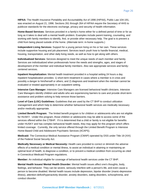**HIPAA:** The Health Insurance Portability and Accountability Act of 1996 (HIPAA), Public Law 104-191, was enacted on August 21, 1996. Sections 261 through 264 of HIPAA require the Secretary of HHS to publicize standards for the electronic exchange, privacy and security of health information.

**Home-Based Services:** Services provided in a family's home either for a defined period of time or for as long as it takes to deal with a mental health problem. Examples include parent training, counseling, and working with family members to identify, find, or provide other necessary help. The goal is to prevent a child from being placed outside of the home. (Alternate term: in-home supports.)

**Independent Living Services:** Support for a young person living on his or her own. These services include supportive housing and job placement. Services teach youth how to handle financial, medical, housing, transportation, and other daily living needs, as well as how to get along with others.

**Individualized Services:** Services designed to meet the unique needs of each member and family. Services are individualized when professionals honor the needs and strengths, ages, and stages of development of the member and individual family members. Also see appropriate services and familycentered services.

**Inpatient Hospitalization:** Mental health treatment provided in a hospital setting 24 hours a day. Inpatient hospitalization provides: 1) short-term treatment in cases where a member is in crisis and possibly a danger to him/herself or others; and 2) diagnosis and treatment when the member cannot be evaluated or treated appropriately in an outpatient setting.

**Intensive Care Manager:** Intensive Care Managers are licensed behavioral health clinicians. Intensive Care Managers identify children and adults who are experiencing barriers to care and provide short-term assistance and problem solving to help remove those barriers.

**Level of Care (LOC) Guidelines:** Guidelines that are used by the CT BHP to conduct utilization management and which help to determine whether behavioral health services are medically necessary and/or medically appropriate.

**Limited Benefit Program:** The limited benefit program is for children or adolescents who are not eligible for HUSKY. Under this program, those children or adolescents may be able to access some of the services offered within the CTBHP. If it is determined that a child or family is not eligible for benefits under HUSKY and has complex behavioral health needs, they may apply for this program which offers limited coverage. Currently, the only service offered through the Limited Benefit Program is Intensive Home-Based Child and Adolescent Psychiatric Services (IICAPS).

**Medicaid:** The Connecticut Medical Assistance Program (CMAP) operated by DSS under Title 19 (XIX) of the Federal Social Security Act.

**Medically Necessary or Medical Necessity:** Health care provided to correct or diminish the adverse effects of a medical condition or mental illness, to assist an individual in attaining or maintaining an optimal level of health, to diagnose a condition, or to prevent a medical condition from occurring as cited in Connecticut Medicaid Program regulations.

**Member:** An individual eligible for coverage of behavioral health services under the CT BHP.

**Mental Health Issues/ Mental Health Disorder:** Mental health issues affect one's thoughts, body, feelings, and behavior. They can be severe, seriously interfere with a person's life, and even cause a person to become disabled. Mental health issues include depression, bipolar disorder (manic-depressive illness), attention-deficit/hyperactivity disorder, anxiety disorders, eating disorders, schizophrenia, and conduct disorder.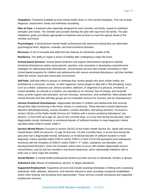**Outpatient:** Treatment available at local mental health clinics or from private therapists. This can include diagnosis, assessment, family and individual counseling.

**Plan of Care:** A treatment plan especially designed for each member and family, based on individual strengths and needs. The member and provider develop the plan with input from the family. The plan establishes goals and details appropriate to treatment and services to meet the special needs of the member and family.

**Psychologist:** A doctoral-level mental health professional with advanced training that can administer psychological tests, diagnose, evaluate, and treat emotional disorders.

**Recovery:** A set of concepts and skills that can improve an individual's quality of life.

**Resiliency:** The ability to regain a sense of stability after undergoing a major life event.

**School-based Services:** School-based treatment and support interventions designed to identify emotional disturbances and/or assist parents, teachers, and counselors in developing comprehensive strategies for addressing these disturbances. School-based services also include counseling or other school-based programs for children and adolescents with severe emotional disturbance, and their families within the school, home and community environment.

**Self-help:** Self-help refers to groups or meetings that: involve people who have similar needs; are facilitated by a consumer, survivor, or other layperson; assist people to deal with a "life-disrupting" event, such as a death, substance use, serious accident, addiction, or diagnosis of a physical, emotional, or mental disability, for oneself or a relative; are operated on an informal, free-of-charge, and nonprofit basis; provide support and education; and are voluntary, anonymous, and confidential. Many people with mental illnesses find that self-help groups are an invaluable resource for recovery and for empowerment.

**Serious Emotional Disturbances:** Diagnosable disorders in children and adolescents that severely disrupt their daily functioning in the home, school, or community. These disorders include depression, attention-deficit/hyperactivity, anxiety disorders, conduct disorders, and eating disorders. Pursuant to section 1912(c) of the Public Health Service Act "children with a serious emotional disturbance" are persons: 1) from birth up to age 18; and 2) who currently have, or at any time during the last year, had a diagnosable mental, behavioral, or emotional disorder of sufficient duration to meet diagnostic criteria specified within DSM-IV and/or DSM-V.

**Serious Mental Illness:** Pursuant to section 1912(c) of the Public Health Service Act, adults with serious mental illness (SMI) are persons: (1) age 18 and over; (2) who currently have, or at any time during the past year had a diagnosable mental, behavioral, or emotional disorder of sufficient duration to meet diagnostic criteria specified within DSM-IV and/or DSM-V or their ICD-9-CM equivalent (and subsequent revisions) with the exception of DSM-IV and/or DSM-V "V" codes, substance use disorders, and developmental disorders, which are excluded, unless they co-occur with another diagnosable serious mental illness; and (3) that has resulted in functional impairment, which substantially interferes with or limits one or more major life activities.

**Social Worker:** A mental health professional trained to provide services to individuals, families or groups.

**Substance Use:** Misuse of medications, alcohol, or illegal substances.

**Supported Employment:** Supportive services that include assisting individuals in finding work; assessing individuals' skills, attitudes, behaviors, and interests relevant to work; providing vocational rehabilitation and/or other training; and providing work opportunities. These services include transitional and supported employment services.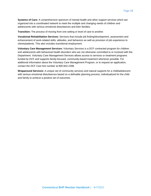**Systems of Care:** A comprehensive spectrum of mental health and other support services which are organized into a coordinated network to meet the multiple and changing needs of children and adolescents with serious emotional disturbances and their families.

**Transition:** The process of moving from one setting or level of care to another.

**Vocational Rehabilitation Services:** Services that include job finding/development, assessment and enhancement of work-related skills, attitudes, and behaviors as well as provision of job experience to clients/patients. This also includes transitional employment.

**Voluntary Care Management Services:** Voluntary Services is a DCF contracted program for children and adolescents with behavioral health disorders who are not otherwise committed to or involved with the Department. Voluntary Care Management Services allows access to services or treatment programs funded by DCF and supports family-focused, community-based treatment whenever possible. For additional information about the Voluntary Care Management Program, or to request an application, contact the DCF Care line number at 800-842-2288.

**Wraparound Services:** A unique set of community services and natural supports for a child/adolescent with serious emotional disturbances based on a definable planning process, individualized for the child and family to achieve a positive set of outcomes.